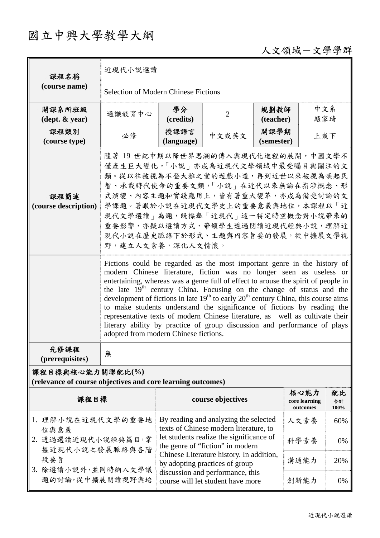## 國立中興大學教學大綱

## 人文領域-文學學群

| 課程名稱                                                                                                              | 近現代小說選讀                                                                                                                                                                                                                                                                                                                                                                                                                                                                                                                                                                                                                                                                                                |                                                                                                                                                                                                                                                                                                                        |                |                    |                                   |                  |  |  |
|-------------------------------------------------------------------------------------------------------------------|--------------------------------------------------------------------------------------------------------------------------------------------------------------------------------------------------------------------------------------------------------------------------------------------------------------------------------------------------------------------------------------------------------------------------------------------------------------------------------------------------------------------------------------------------------------------------------------------------------------------------------------------------------------------------------------------------------|------------------------------------------------------------------------------------------------------------------------------------------------------------------------------------------------------------------------------------------------------------------------------------------------------------------------|----------------|--------------------|-----------------------------------|------------------|--|--|
| (course name)                                                                                                     | <b>Selection of Modern Chinese Fictions</b>                                                                                                                                                                                                                                                                                                                                                                                                                                                                                                                                                                                                                                                            |                                                                                                                                                                                                                                                                                                                        |                |                    |                                   |                  |  |  |
| 開課系所班級<br>$(\text{dept.} \& \text{ year})$                                                                        | 通識教育中心                                                                                                                                                                                                                                                                                                                                                                                                                                                                                                                                                                                                                                                                                                 | 學分<br>(credits)                                                                                                                                                                                                                                                                                                        | $\overline{2}$ | 規劃教師<br>(teacher)  | 中文系<br>趙家琦                        |                  |  |  |
| 課程類別<br>(course type)                                                                                             | 必修                                                                                                                                                                                                                                                                                                                                                                                                                                                                                                                                                                                                                                                                                                     | 授課語言<br>(language)                                                                                                                                                                                                                                                                                                     | 中文或英文          | 開課學期<br>(semester) | 上或下                               |                  |  |  |
| 課程簡述<br>(course description)                                                                                      | 隨著 19 世紀中期以降世界思潮的傳入與現代化進程的展開,中國文學不<br>僅產生巨大變化,「小說」亦成為近現代文學領域中最受矚目與關注的文<br>類。從以往被視為不登大雅之堂的遊戲小道,再到近世以來被視為喚起民<br>智、承載時代使命的重要文類,「小說」在近代以來無論在指涉概念、形<br>式演變、內容主題和實踐應用上,皆有著重大變革,亦成為備受討論的文<br>學課題。著眼於小說在近現代文學史上的重要意義與地位,本課程以「近<br>現代文學選讀   為題, 既標舉「近現代   這一特定時空概念對小說帶來的<br>重要影響,亦擬以選讀方式,帶領學生透過閱讀近現代經典小說,理解近<br>現代小說在歷史脈絡下於形式、主題與內容旨要的發展,從中擴展文學視<br>野,建立人文素養,深化人文情懷。                                                                                                                                                                                                                                                                                                                                            |                                                                                                                                                                                                                                                                                                                        |                |                    |                                   |                  |  |  |
|                                                                                                                   | Fictions could be regarded as the most important genre in the history of<br>modern Chinese literature, fiction was no longer seen as useless or<br>entertaining, whereas was a genre full of effect to arouse the spirit of people in<br>the late 19 <sup>th</sup> century China. Focusing on the change of status and the<br>development of fictions in late $19th$ to early $20th$ century China, this course aims<br>to make students understand the significance of fictions by reading the<br>representative texts of modern Chinese literature, as well as cultivate their<br>literary ability by practice of group discussion and performance of plays<br>adopted from modern Chinese fictions. |                                                                                                                                                                                                                                                                                                                        |                |                    |                                   |                  |  |  |
| 先修課程<br>(prerequisites)                                                                                           | 無                                                                                                                                                                                                                                                                                                                                                                                                                                                                                                                                                                                                                                                                                                      |                                                                                                                                                                                                                                                                                                                        |                |                    |                                   |                  |  |  |
| 課程目標與核心能力關聯配比(%)<br>(relevance of course objectives and core learning outcomes)                                   |                                                                                                                                                                                                                                                                                                                                                                                                                                                                                                                                                                                                                                                                                                        |                                                                                                                                                                                                                                                                                                                        |                |                    |                                   |                  |  |  |
| 課程目標                                                                                                              |                                                                                                                                                                                                                                                                                                                                                                                                                                                                                                                                                                                                                                                                                                        | course objectives                                                                                                                                                                                                                                                                                                      |                |                    | 核心能力<br>core learning<br>outcomes | 配比<br>合計<br>100% |  |  |
| 1. 理解小說在近現代文學的重要地<br>位與意義<br>2. 透過選讀近現代小說經典篇目,掌<br>握近現代小說之發展脈絡與各階<br>段要旨<br>3. 除選讀小說外,並同時納入文學議<br>題的討論,從中擴展閱讀視野與培 |                                                                                                                                                                                                                                                                                                                                                                                                                                                                                                                                                                                                                                                                                                        | By reading and analyzing the selected<br>texts of Chinese modern literature, to<br>let students realize the significance of<br>the genre of "fiction" in modern<br>Chinese Literature history. In addition,<br>by adopting practices of group<br>discussion and performance, this<br>course will let student have more |                |                    | 人文素養                              | 60%              |  |  |
|                                                                                                                   |                                                                                                                                                                                                                                                                                                                                                                                                                                                                                                                                                                                                                                                                                                        |                                                                                                                                                                                                                                                                                                                        |                |                    | 科學素養                              | 0%               |  |  |
|                                                                                                                   |                                                                                                                                                                                                                                                                                                                                                                                                                                                                                                                                                                                                                                                                                                        |                                                                                                                                                                                                                                                                                                                        |                |                    | 溝通能力                              | 20%              |  |  |
|                                                                                                                   |                                                                                                                                                                                                                                                                                                                                                                                                                                                                                                                                                                                                                                                                                                        |                                                                                                                                                                                                                                                                                                                        |                |                    | 創新能力                              | 0%               |  |  |